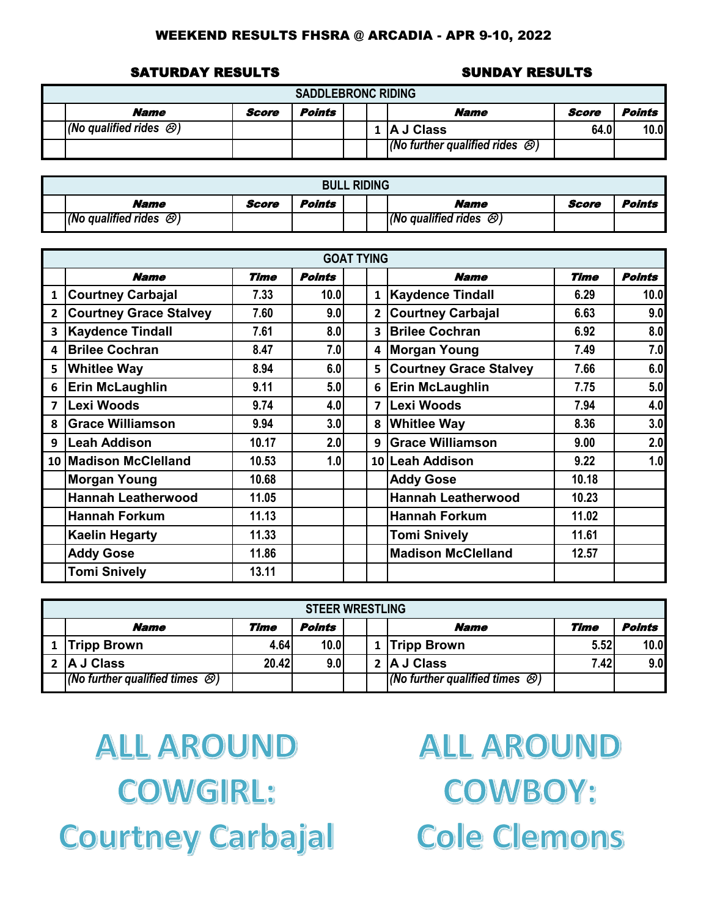#### SATURDAY RESULTS SUNDAY RESULTS

| <b>SADDLEBRONC RIDING</b>                                 |  |  |  |  |                                              |      |      |  |  |  |  |
|-----------------------------------------------------------|--|--|--|--|----------------------------------------------|------|------|--|--|--|--|
| Points<br>Points<br>Name<br><b>Name</b><br>Score<br>Score |  |  |  |  |                                              |      |      |  |  |  |  |
| $ $ (No qualified rides $\otimes$ )                       |  |  |  |  | 1   A J Class                                | 64.0 | 10.0 |  |  |  |  |
|                                                           |  |  |  |  | (No further qualified rides $\mathcal{O}(n)$ |      |      |  |  |  |  |

| <b>BULL RIDING</b>                     |       |        |  |  |                                      |       |        |  |  |  |  |
|----------------------------------------|-------|--------|--|--|--------------------------------------|-------|--------|--|--|--|--|
| Name                                   | Score | Points |  |  | <b>Name</b>                          | Score | Points |  |  |  |  |
| $(No$ qualified rides $\mathcal{O}(n)$ |       |        |  |  | (No qualified rides $\mathcal{O}(n)$ |       |        |  |  |  |  |

|                         | <b>GOAT TYING</b>             |             |               |  |                         |                               |             |               |  |  |  |  |  |
|-------------------------|-------------------------------|-------------|---------------|--|-------------------------|-------------------------------|-------------|---------------|--|--|--|--|--|
|                         | <b>Name</b>                   | <b>Time</b> | <b>Points</b> |  |                         | <b>Name</b>                   | <b>Time</b> | <b>Points</b> |  |  |  |  |  |
| $\mathbf{1}$            | <b>Courtney Carbajal</b>      | 7.33        | 10.0          |  | $\mathbf{1}$            | <b>Kaydence Tindall</b>       | 6.29        | 10.0          |  |  |  |  |  |
| $\overline{2}$          | <b>Courtney Grace Stalvey</b> | 7.60        | 9.0           |  | $\overline{2}$          | <b>Courtney Carbajal</b>      | 6.63        | 9.0           |  |  |  |  |  |
| 3                       | <b>Kaydence Tindall</b>       | 7.61        | 8.0           |  | $\overline{\mathbf{3}}$ | <b>Brilee Cochran</b>         | 6.92        | 8.0           |  |  |  |  |  |
| 4                       | <b>Brilee Cochran</b>         | 8.47        | 7.0           |  | 4                       | <b>Morgan Young</b>           | 7.49        | 7.0           |  |  |  |  |  |
| 5                       | <b>Whitlee Way</b>            | 8.94        | 6.0           |  | 5                       | <b>Courtney Grace Stalvey</b> | 7.66        | 6.0           |  |  |  |  |  |
| 6                       | <b>Erin McLaughlin</b>        | 9.11        | 5.0           |  | 6                       | <b>Erin McLaughlin</b>        | 7.75        | 5.0           |  |  |  |  |  |
| $\overline{\mathbf{z}}$ | Lexi Woods                    | 9.74        | 4.0           |  | $\overline{ }$          | <b>Lexi Woods</b>             | 7.94        | 4.0           |  |  |  |  |  |
| 8                       | <b>Grace Williamson</b>       | 9.94        | 3.0           |  | 8                       | <b>Whitlee Way</b>            | 8.36        | 3.0           |  |  |  |  |  |
| 9                       | Leah Addison                  | 10.17       | 2.0           |  | 9                       | <b>Grace Williamson</b>       | 9.00        | 2.0           |  |  |  |  |  |
|                         | 10 Madison McClelland         | 10.53       | 1.0           |  |                         | 10 Leah Addison               | 9.22        | 1.0           |  |  |  |  |  |
|                         | <b>Morgan Young</b>           | 10.68       |               |  |                         | <b>Addy Gose</b>              | 10.18       |               |  |  |  |  |  |
|                         | <b>Hannah Leatherwood</b>     | 11.05       |               |  |                         | <b>Hannah Leatherwood</b>     | 10.23       |               |  |  |  |  |  |
|                         | <b>Hannah Forkum</b>          | 11.13       |               |  |                         | <b>Hannah Forkum</b>          | 11.02       |               |  |  |  |  |  |
|                         | <b>Kaelin Hegarty</b>         | 11.33       |               |  |                         | <b>Tomi Snively</b>           | 11.61       |               |  |  |  |  |  |
|                         | <b>Addy Gose</b>              | 11.86       |               |  |                         | <b>Madison McClelland</b>     | 12.57       |               |  |  |  |  |  |
|                         | <b>Tomi Snively</b>           | 13.11       |               |  |                         |                               |             |               |  |  |  |  |  |

| <b>STEER WRESTLING</b>                                                |       |      |  |  |                                                |       |      |  |  |  |  |  |
|-----------------------------------------------------------------------|-------|------|--|--|------------------------------------------------|-------|------|--|--|--|--|--|
| <b>Points</b><br><b>Points</b><br>Time<br>Time<br><b>Name</b><br>Name |       |      |  |  |                                                |       |      |  |  |  |  |  |
| <b>Tripp Brown</b>                                                    | 4.64  | 10.0 |  |  | 1 Tripp Brown                                  | 5.52  | 10.0 |  |  |  |  |  |
| <b>A J Class</b>                                                      | 20.42 | 9.0  |  |  | 2 A J Class                                    | 7.42I | 9.0  |  |  |  |  |  |
| $\sqrt{(N\sigma)$ further qualified times $\otimes$ )                 |       |      |  |  | $(No$ further qualified times $\mathcal{O}(n)$ |       |      |  |  |  |  |  |

**ALL AROUND COWGIRL: Courtney Carbajal** 

**ALL AROUND COWBOY: Cole Clemons**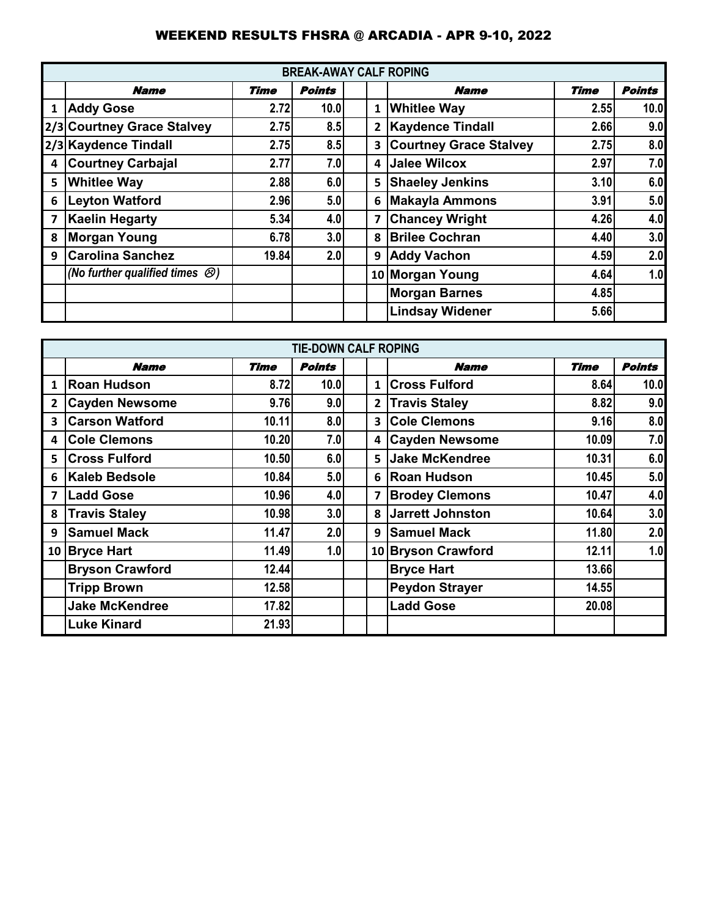|                         | <b>BREAK-AWAY CALF ROPING</b>                |       |                  |  |                |                               |      |               |  |  |  |  |  |
|-------------------------|----------------------------------------------|-------|------------------|--|----------------|-------------------------------|------|---------------|--|--|--|--|--|
|                         | <b>Name</b>                                  | Time  | Points           |  |                | <b>Name</b>                   | Time | <b>Points</b> |  |  |  |  |  |
| 1                       | <b>Addy Gose</b>                             | 2.72  | 10.0             |  | $\mathbf{1}$   | <b>Whitlee Way</b>            | 2.55 | 10.0          |  |  |  |  |  |
|                         | 2/3 Courtney Grace Stalvey                   | 2.75  | 8.5              |  | $\overline{2}$ | <b>Kaydence Tindall</b>       | 2.66 | 9.0           |  |  |  |  |  |
|                         | 2/3 Kaydence Tindall                         | 2.75  | 8.5              |  | 3              | <b>Courtney Grace Stalvey</b> | 2.75 | 8.0           |  |  |  |  |  |
| 4                       | <b>Courtney Carbajal</b>                     | 2.77  | 7.0              |  | 4              | <b>Jalee Wilcox</b>           | 2.97 | 7.0           |  |  |  |  |  |
| 5                       | <b>Whitlee Way</b>                           | 2.88  | 6.0              |  | 5              | <b>Shaeley Jenkins</b>        | 3.10 | 6.0           |  |  |  |  |  |
| 6                       | <b>Leyton Watford</b>                        | 2.96  | 5.0              |  | 6              | <b>Makayla Ammons</b>         | 3.91 | 5.0           |  |  |  |  |  |
| $\overline{\mathbf{z}}$ | <b>Kaelin Hegarty</b>                        | 5.34  | 4.0 <sub>1</sub> |  | $\overline{ }$ | <b>Chancey Wright</b>         | 4.26 | 4.0           |  |  |  |  |  |
| 8                       | <b>Morgan Young</b>                          | 6.78  | 3.0 <sub>1</sub> |  | 8              | <b>Brilee Cochran</b>         | 4.40 | 3.0           |  |  |  |  |  |
| 9                       | <b>Carolina Sanchez</b>                      | 19.84 | 2.0              |  | 9              | <b>Addy Vachon</b>            | 4.59 | 2.0           |  |  |  |  |  |
|                         | (No further qualified times $\mathcal{O}(n)$ |       |                  |  |                | 10 Morgan Young               | 4.64 | 1.0           |  |  |  |  |  |
|                         |                                              |       |                  |  |                | <b>Morgan Barnes</b>          | 4.85 |               |  |  |  |  |  |
|                         |                                              |       |                  |  |                | <b>Lindsay Widener</b>        | 5.66 |               |  |  |  |  |  |

|              | <b>TIE-DOWN CALF ROPING</b> |             |               |  |                         |                       |             |               |  |  |  |  |  |
|--------------|-----------------------------|-------------|---------------|--|-------------------------|-----------------------|-------------|---------------|--|--|--|--|--|
|              | <b>Name</b>                 | <b>Time</b> | <b>Points</b> |  |                         | Name                  | <b>Time</b> | <b>Points</b> |  |  |  |  |  |
| 1            | Roan Hudson                 | 8.72        | 10.0          |  | $\mathbf{1}$            | <b>Cross Fulford</b>  | 8.64        | 10.0          |  |  |  |  |  |
| $\mathbf{2}$ | <b>Cayden Newsome</b>       | 9.76        | 9.0           |  | $\overline{2}$          | <b>Travis Staley</b>  | 8.82        | 9.0           |  |  |  |  |  |
| 3            | <b>Carson Watford</b>       | 10.11       | 8.0           |  | $\overline{\mathbf{3}}$ | <b>Cole Clemons</b>   | 9.16        | 8.0           |  |  |  |  |  |
| 4            | <b>Cole Clemons</b>         | 10.20       | 7.0           |  | 4                       | <b>Cayden Newsome</b> | 10.09       | 7.0           |  |  |  |  |  |
| 5            | <b>Cross Fulford</b>        | 10.50       | 6.0           |  | 5                       | Jake McKendree        | 10.31       | 6.0           |  |  |  |  |  |
| 6            | Kaleb Bedsole               | 10.84       | 5.0           |  |                         | 6 Roan Hudson         | 10.45       | 5.0           |  |  |  |  |  |
| 7            | <b>Ladd Gose</b>            | 10.96       | 4.0           |  | $\overline{ }$          | <b>Brodey Clemons</b> | 10.47       | 4.0           |  |  |  |  |  |
| 8            | <b>Travis Staley</b>        | 10.98       | 3.0           |  | 8                       | Jarrett Johnston      | 10.64       | 3.0           |  |  |  |  |  |
| 9            | <b>Samuel Mack</b>          | 11.47       | 2.0           |  | 9                       | <b>Samuel Mack</b>    | 11.80       | 2.0           |  |  |  |  |  |
|              | 10 Bryce Hart               | 11.49       | 1.0           |  |                         | 10 Bryson Crawford    | 12.11       | 1.0           |  |  |  |  |  |
|              | <b>Bryson Crawford</b>      | 12.44       |               |  |                         | <b>Bryce Hart</b>     | 13.66       |               |  |  |  |  |  |
|              | <b>Tripp Brown</b>          | 12.58       |               |  |                         | <b>Peydon Strayer</b> | 14.55       |               |  |  |  |  |  |
|              | <b>Jake McKendree</b>       | 17.82       |               |  |                         | <b>Ladd Gose</b>      | 20.08       |               |  |  |  |  |  |
|              | <b>Luke Kinard</b>          | 21.93       |               |  |                         |                       |             |               |  |  |  |  |  |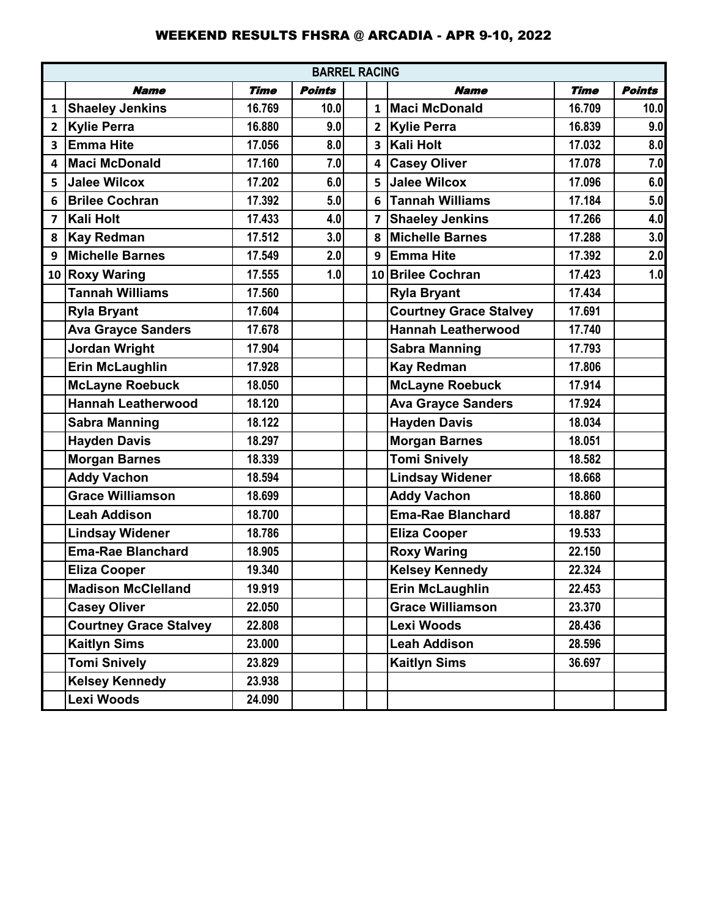|              | <b>BARREL RACING</b>          |             |               |  |                |                           |             |               |  |  |  |  |  |
|--------------|-------------------------------|-------------|---------------|--|----------------|---------------------------|-------------|---------------|--|--|--|--|--|
|              | <b>Name</b>                   | <b>Time</b> | <b>Points</b> |  |                | <b>Name</b>               | <b>Time</b> | <b>Points</b> |  |  |  |  |  |
| 1            | <b>Shaeley Jenkins</b>        | 16.769      | 10.0          |  |                | 1 Maci McDonald           | 16.709      | 10.0          |  |  |  |  |  |
| $\mathbf{2}$ | <b>Kylie Perra</b>            | 16.880      | 9.0           |  | $\overline{2}$ | <b>Kylie Perra</b>        | 16.839      | 9.0           |  |  |  |  |  |
| 3            | <b>Emma Hite</b>              | 17.056      | 8.0           |  |                | 3 Kali Holt               | 17.032      | 8.0           |  |  |  |  |  |
| 4            | <b>Maci McDonald</b>          | 17.160      | 7.0           |  | 4              | <b>Casey Oliver</b>       | 17.078      | 7.0           |  |  |  |  |  |
| 5            | <b>Jalee Wilcox</b>           | 17.202      | 6.0           |  | 5              | Jalee Wilcox              | 17.096      | 6.0           |  |  |  |  |  |
| 6            | <b>Brilee Cochran</b>         | 17.392      | 5.0           |  | 6              | <b>Tannah Williams</b>    | 17.184      | 5.0           |  |  |  |  |  |
| 7            | <b>Kali Holt</b>              | 17.433      | 4.0           |  | $\overline{7}$ | <b>Shaeley Jenkins</b>    | 17.266      | 4.0           |  |  |  |  |  |
| 8            | <b>Kay Redman</b>             | 17.512      | 3.0           |  | 8              | <b>Michelle Barnes</b>    | 17.288      | 3.0           |  |  |  |  |  |
| 9            | Michelle Barnes               | 17.549      | 2.0           |  | 9              | <b>Emma Hite</b>          | 17.392      | 2.0           |  |  |  |  |  |
|              | 10 Roxy Waring                | 17.555      | 1.0           |  |                | 10 Brilee Cochran         | 17.423      | 1.0           |  |  |  |  |  |
|              | <b>Tannah Williams</b>        | 17.560      |               |  |                | <b>Ryla Bryant</b>        | 17.434      |               |  |  |  |  |  |
|              | <b>Ryla Bryant</b>            | 17.604      |               |  |                | Courtney Grace Stalvey    | 17.691      |               |  |  |  |  |  |
|              | <b>Ava Grayce Sanders</b>     | 17.678      |               |  |                | <b>Hannah Leatherwood</b> | 17.740      |               |  |  |  |  |  |
|              | Jordan Wright                 | 17.904      |               |  |                | <b>Sabra Manning</b>      | 17.793      |               |  |  |  |  |  |
|              | <b>Erin McLaughlin</b>        | 17.928      |               |  |                | <b>Kay Redman</b>         | 17.806      |               |  |  |  |  |  |
|              | <b>McLayne Roebuck</b>        | 18.050      |               |  |                | <b>McLayne Roebuck</b>    | 17.914      |               |  |  |  |  |  |
|              | <b>Hannah Leatherwood</b>     | 18.120      |               |  |                | <b>Ava Grayce Sanders</b> | 17.924      |               |  |  |  |  |  |
|              | <b>Sabra Manning</b>          | 18.122      |               |  |                | <b>Hayden Davis</b>       | 18.034      |               |  |  |  |  |  |
|              | <b>Hayden Davis</b>           | 18.297      |               |  |                | <b>Morgan Barnes</b>      | 18.051      |               |  |  |  |  |  |
|              | <b>Morgan Barnes</b>          | 18.339      |               |  |                | <b>Tomi Snively</b>       | 18.582      |               |  |  |  |  |  |
|              | <b>Addy Vachon</b>            | 18.594      |               |  |                | <b>Lindsay Widener</b>    | 18.668      |               |  |  |  |  |  |
|              | <b>Grace Williamson</b>       | 18.699      |               |  |                | <b>Addy Vachon</b>        | 18.860      |               |  |  |  |  |  |
|              | <b>Leah Addison</b>           | 18.700      |               |  |                | <b>Ema-Rae Blanchard</b>  | 18.887      |               |  |  |  |  |  |
|              | <b>Lindsay Widener</b>        | 18.786      |               |  |                | <b>Eliza Cooper</b>       | 19.533      |               |  |  |  |  |  |
|              | <b>Ema-Rae Blanchard</b>      | 18.905      |               |  |                | <b>Roxy Waring</b>        | 22.150      |               |  |  |  |  |  |
|              | <b>Eliza Cooper</b>           | 19.340      |               |  |                | <b>Kelsey Kennedy</b>     | 22.324      |               |  |  |  |  |  |
|              | <b>Madison McClelland</b>     | 19.919      |               |  |                | Erin McLaughlin           | 22.453      |               |  |  |  |  |  |
|              | <b>Casey Oliver</b>           | 22.050      |               |  |                | <b>Grace Williamson</b>   | 23.370      |               |  |  |  |  |  |
|              | <b>Courtney Grace Stalvey</b> | 22.808      |               |  |                | Lexi Woods                | 28.436      |               |  |  |  |  |  |
|              | <b>Kaitlyn Sims</b>           | 23.000      |               |  |                | <b>Leah Addison</b>       | 28.596      |               |  |  |  |  |  |
|              | <b>Tomi Snively</b>           | 23.829      |               |  |                | <b>Kaitlyn Sims</b>       | 36.697      |               |  |  |  |  |  |
|              | <b>Kelsey Kennedy</b>         | 23.938      |               |  |                |                           |             |               |  |  |  |  |  |
|              | Lexi Woods                    | 24.090      |               |  |                |                           |             |               |  |  |  |  |  |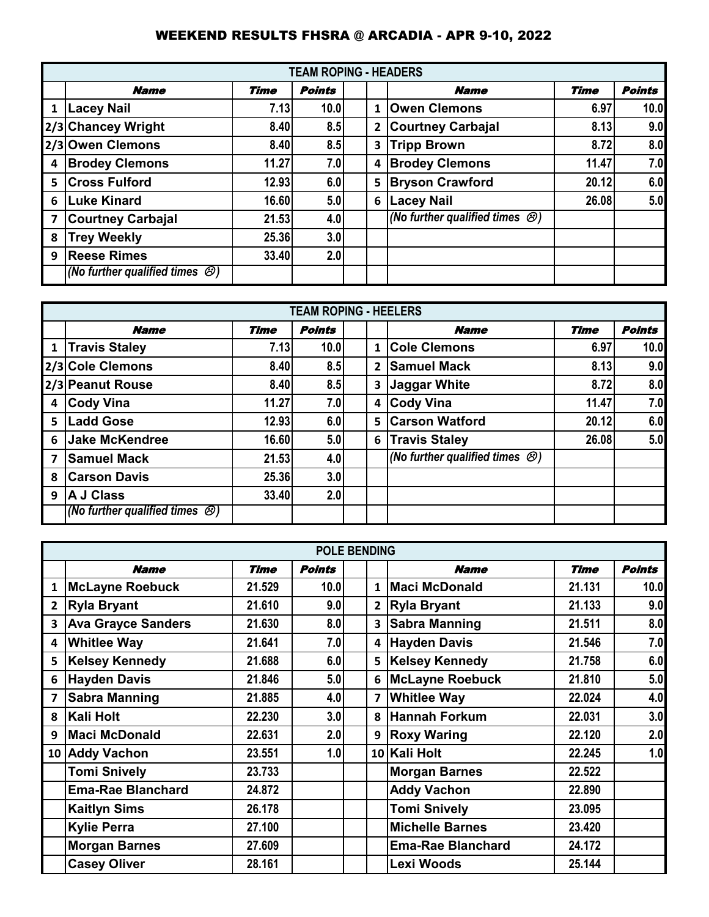|                |                                              |       | <b>TEAM ROPING - HEADERS</b> |   |                                            |             |               |
|----------------|----------------------------------------------|-------|------------------------------|---|--------------------------------------------|-------------|---------------|
|                | <b>Name</b>                                  | Time  | <b>Points</b>                |   | <b>Name</b>                                | <b>Time</b> | <b>Points</b> |
| 1              | <b>Lacey Nail</b>                            | 7.13  | 10.0                         | 1 | <b>Owen Clemons</b>                        | 6.97        | 10.0          |
|                | 2/3 Chancey Wright                           | 8.40  | 8.5                          | 2 | <b>Courtney Carbajal</b>                   | 8.13        | 9.0           |
|                | 2/3 Owen Clemons                             | 8.40  | 8.5                          | 3 | <b>Tripp Brown</b>                         | 8.72        | 8.0           |
| 4              | <b>Brodey Clemons</b>                        | 11.27 | 7.0                          | 4 | <b>Brodey Clemons</b>                      | 11.47       | 7.0           |
| -5             | <b>Cross Fulford</b>                         | 12.93 | 6.0                          | 5 | <b>Bryson Crawford</b>                     | 20.12       | 6.0           |
| - 6            | <b>Luke Kinard</b>                           | 16.60 | 5.0                          | 6 | <b>Lacey Nail</b>                          | 26.08       | 5.0           |
| $\overline{7}$ | <b>Courtney Carbajal</b>                     | 21.53 | 4.0                          |   | (No further qualified times $\bigotimes$ ) |             |               |
| 8              | <b>Trey Weekly</b>                           | 25.36 | 3.0                          |   |                                            |             |               |
| 9              | <b>Reese Rimes</b>                           | 33.40 | 2.0                          |   |                                            |             |               |
|                | (No further qualified times $\mathcal{O}(n)$ |       |                              |   |                                            |             |               |

|   | <b>TEAM ROPING - HEELERS</b>            |             |               |  |                |                                             |             |               |  |  |  |  |  |
|---|-----------------------------------------|-------------|---------------|--|----------------|---------------------------------------------|-------------|---------------|--|--|--|--|--|
|   | <b>Name</b>                             | <b>Time</b> | <b>Points</b> |  |                | <b>Name</b>                                 | <b>Time</b> | <b>Points</b> |  |  |  |  |  |
| 1 | <b>Travis Staley</b>                    | 7.13        | 10.0          |  | 1              | <b>Cole Clemons</b>                         | 6.97        | 10.0          |  |  |  |  |  |
|   | 2/3 Cole Clemons                        | 8.40        | 8.5           |  | $\overline{2}$ | <b>Samuel Mack</b>                          | 8.13        | 9.0           |  |  |  |  |  |
|   | 2/3 Peanut Rouse                        | 8.40        | 8.5           |  | 3              | Jaggar White                                | 8.72        | 8.0           |  |  |  |  |  |
| 4 | <b>Cody Vina</b>                        | 11.27       | 7.0           |  | 4              | <b>Cody Vina</b>                            | 11.47       | 7.0           |  |  |  |  |  |
| 5 | <b>Ladd Gose</b>                        | 12.93       | 6.0           |  | 5              | <b>Carson Watford</b>                       | 20.12       | 6.0           |  |  |  |  |  |
| 6 | <b>Uake McKendree</b>                   | 16.60       | 5.0           |  | 6              | <b>Travis Staley</b>                        | 26.08       | 5.0           |  |  |  |  |  |
| 7 | <b>Samuel Mack</b>                      | 21.53       | 4.0           |  |                | (No further qualified times $\mathcal{B}$ ) |             |               |  |  |  |  |  |
| 8 | <b>Carson Davis</b>                     | 25.36       | 3.0           |  |                |                                             |             |               |  |  |  |  |  |
| 9 | <b>A J Class</b>                        | 33.40       | 2.0           |  |                |                                             |             |               |  |  |  |  |  |
|   | $(No$ further qualified times $\oslash$ |             |               |  |                |                                             |             |               |  |  |  |  |  |

|                         | <b>POLE BENDING</b>       |        |                  |  |              |                          |             |                      |  |  |  |  |
|-------------------------|---------------------------|--------|------------------|--|--------------|--------------------------|-------------|----------------------|--|--|--|--|
|                         | <b>Name</b>               | Time   | <b>Points</b>    |  |              | <b>Name</b>              | <b>Time</b> | <i><b>Points</b></i> |  |  |  |  |
| $\mathbf{1}$            | <b>McLayne Roebuck</b>    | 21.529 | 10.0             |  | $\mathbf{1}$ | <b>Maci McDonald</b>     | 21.131      | 10.0                 |  |  |  |  |
| $\overline{2}$          | <b>Ryla Bryant</b>        | 21.610 | 9.0              |  | $2^{\circ}$  | <b>Ryla Bryant</b>       | 21.133      | 9.0                  |  |  |  |  |
| 3                       | <b>Ava Grayce Sanders</b> | 21.630 | 8.0              |  | $\mathbf{3}$ | <b>Sabra Manning</b>     | 21.511      | 8.0                  |  |  |  |  |
| 4                       | <b>Whitlee Way</b>        | 21.641 | 7.0              |  | $4 \mid$     | <b>Hayden Davis</b>      | 21.546      | 7.0                  |  |  |  |  |
| 5                       | <b>Kelsey Kennedy</b>     | 21.688 | 6.0              |  |              | 5   Kelsey Kennedy       | 21.758      | 6.0                  |  |  |  |  |
| 6                       | <b>Hayden Davis</b>       | 21.846 | 5.0              |  | 6            | <b>McLayne Roebuck</b>   | 21.810      | 5.0                  |  |  |  |  |
| $\overline{\mathbf{z}}$ | Sabra Manning             | 21.885 | 4.0              |  | 7            | <b>Whitlee Way</b>       | 22.024      | 4.0                  |  |  |  |  |
| 8                       | Kali Holt                 | 22.230 | 3.0              |  | 8            | <b>Hannah Forkum</b>     | 22.031      | 3.0                  |  |  |  |  |
| 9                       | <b>Maci McDonald</b>      | 22.631 | 2.0              |  |              | 9 Roxy Waring            | 22.120      | 2.0                  |  |  |  |  |
|                         | 10 Addy Vachon            | 23.551 | 1.0 <sub>l</sub> |  |              | 10 Kali Holt             | 22.245      | 1.0                  |  |  |  |  |
|                         | <b>Tomi Snively</b>       | 23.733 |                  |  |              | <b>Morgan Barnes</b>     | 22.522      |                      |  |  |  |  |
|                         | <b>Ema-Rae Blanchard</b>  | 24.872 |                  |  |              | <b>Addy Vachon</b>       | 22.890      |                      |  |  |  |  |
|                         | <b>Kaitlyn Sims</b>       | 26.178 |                  |  |              | <b>Tomi Snively</b>      | 23.095      |                      |  |  |  |  |
|                         | <b>Kylie Perra</b>        | 27.100 |                  |  |              | <b>Michelle Barnes</b>   | 23.420      |                      |  |  |  |  |
|                         | <b>Morgan Barnes</b>      | 27.609 |                  |  |              | <b>Ema-Rae Blanchard</b> | 24.172      |                      |  |  |  |  |
|                         | <b>Casey Oliver</b>       | 28.161 |                  |  |              | Lexi Woods               | 25.144      |                      |  |  |  |  |